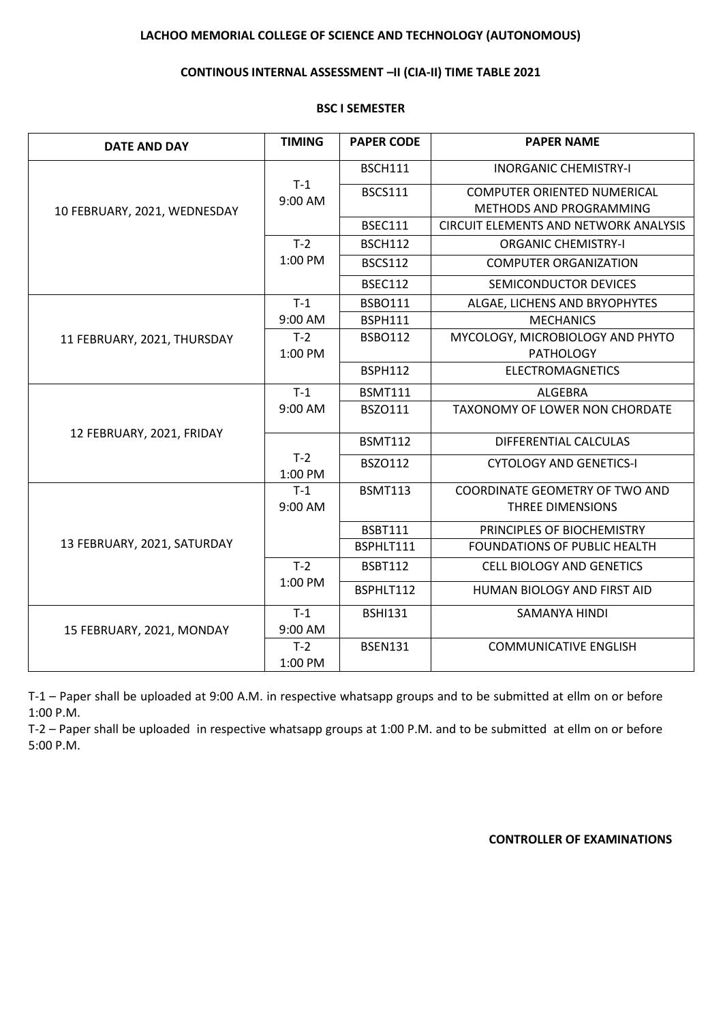# **LACHOO MEMORIAL COLLEGE OF SCIENCE AND TECHNOLOGY (AUTONOMOUS)**

### **CONTINOUS INTERNAL ASSESSMENT –II (CIA-II) TIME TABLE 2021**

### **BSC I SEMESTER**

| <b>DATE AND DAY</b>          | <b>TIMING</b>    | <b>PAPER CODE</b> | <b>PAPER NAME</b>                            |
|------------------------------|------------------|-------------------|----------------------------------------------|
| 10 FEBRUARY, 2021, WEDNESDAY | $T-1$<br>9:00 AM | <b>BSCH111</b>    | <b>INORGANIC CHEMISTRY-I</b>                 |
|                              |                  | <b>BSCS111</b>    | <b>COMPUTER ORIENTED NUMERICAL</b>           |
|                              |                  |                   | METHODS AND PROGRAMMING                      |
|                              |                  | <b>BSEC111</b>    | <b>CIRCUIT ELEMENTS AND NETWORK ANALYSIS</b> |
|                              | $T-2$            | <b>BSCH112</b>    | <b>ORGANIC CHEMISTRY-I</b>                   |
|                              | 1:00 PM          | <b>BSCS112</b>    | <b>COMPUTER ORGANIZATION</b>                 |
|                              |                  | <b>BSEC112</b>    | SEMICONDUCTOR DEVICES                        |
|                              | $T-1$            | <b>BSBO111</b>    | ALGAE, LICHENS AND BRYOPHYTES                |
|                              | 9:00 AM          | <b>BSPH111</b>    | <b>MECHANICS</b>                             |
| 11 FEBRUARY, 2021, THURSDAY  | $T-2$            | <b>BSBO112</b>    | MYCOLOGY, MICROBIOLOGY AND PHYTO             |
|                              | 1:00 PM          |                   | <b>PATHOLOGY</b>                             |
|                              |                  | <b>BSPH112</b>    | <b>ELECTROMAGNETICS</b>                      |
| 12 FEBRUARY, 2021, FRIDAY    | $T-1$            | <b>BSMT111</b>    | <b>ALGEBRA</b>                               |
|                              | 9:00 AM          | <b>BSZO111</b>    | <b>TAXONOMY OF LOWER NON CHORDATE</b>        |
|                              |                  | <b>BSMT112</b>    | DIFFERENTIAL CALCULAS                        |
|                              | $T-2$<br>1:00 PM | <b>BSZO112</b>    | <b>CYTOLOGY AND GENETICS-I</b>               |
| 13 FEBRUARY, 2021, SATURDAY  | $T-1$            | <b>BSMT113</b>    | COORDINATE GEOMETRY OF TWO AND               |
|                              | $9:00$ AM        |                   | THREE DIMENSIONS                             |
|                              |                  | <b>BSBT111</b>    | PRINCIPLES OF BIOCHEMISTRY                   |
|                              |                  | BSPHLT111         | <b>FOUNDATIONS OF PUBLIC HEALTH</b>          |
|                              | $T-2$            | <b>BSBT112</b>    | <b>CELL BIOLOGY AND GENETICS</b>             |
|                              | 1:00 PM          | BSPHLT112         | HUMAN BIOLOGY AND FIRST AID                  |
| 15 FEBRUARY, 2021, MONDAY    | $T-1$            | <b>BSHI131</b>    | <b>SAMANYA HINDI</b>                         |
|                              | 9:00 AM          |                   |                                              |
|                              | $T-2$            | <b>BSEN131</b>    | <b>COMMUNICATIVE ENGLISH</b>                 |
|                              | 1:00 PM          |                   |                                              |

T-1 – Paper shall be uploaded at 9:00 A.M. in respective whatsapp groups and to be submitted at ellm on or before 1:00 P.M.

T-2 – Paper shall be uploaded in respective whatsapp groups at 1:00 P.M. and to be submitted at ellm on or before 5:00 P.M.

**CONTROLLER OF EXAMINATIONS**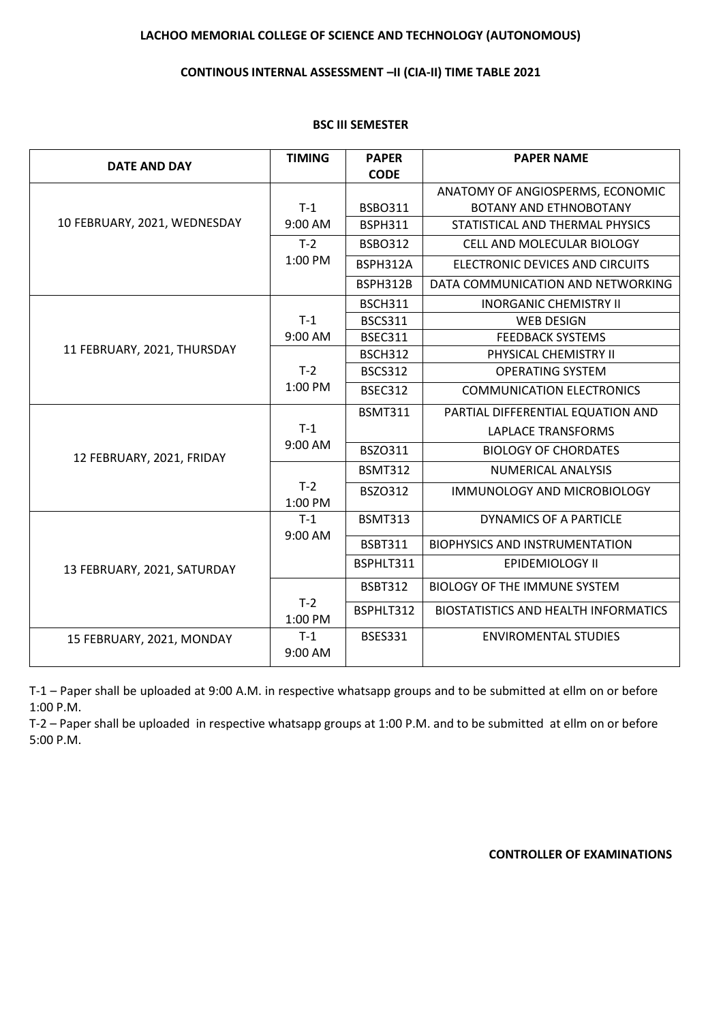# **LACHOO MEMORIAL COLLEGE OF SCIENCE AND TECHNOLOGY (AUTONOMOUS)**

### **CONTINOUS INTERNAL ASSESSMENT –II (CIA-II) TIME TABLE 2021**

### **BSC III SEMESTER**

| <b>DATE AND DAY</b>          | <b>TIMING</b>    | <b>PAPER</b>   | <b>PAPER NAME</b>                           |
|------------------------------|------------------|----------------|---------------------------------------------|
|                              |                  | <b>CODE</b>    |                                             |
|                              |                  |                | ANATOMY OF ANGIOSPERMS, ECONOMIC            |
|                              | $T-1$            | <b>BSBO311</b> | <b>BOTANY AND ETHNOBOTANY</b>               |
| 10 FEBRUARY, 2021, WEDNESDAY | 9:00 AM          | <b>BSPH311</b> | STATISTICAL AND THERMAL PHYSICS             |
|                              | $T-2$            | <b>BSBO312</b> | <b>CELL AND MOLECULAR BIOLOGY</b>           |
|                              | 1:00 PM          | BSPH312A       | ELECTRONIC DEVICES AND CIRCUITS             |
|                              |                  | BSPH312B       | DATA COMMUNICATION AND NETWORKING           |
|                              |                  | <b>BSCH311</b> | <b>INORGANIC CHEMISTRY II</b>               |
|                              | $T-1$            | <b>BSCS311</b> | <b>WEB DESIGN</b>                           |
|                              | 9:00 AM          | <b>BSEC311</b> | <b>FEEDBACK SYSTEMS</b>                     |
| 11 FEBRUARY, 2021, THURSDAY  |                  | <b>BSCH312</b> | PHYSICAL CHEMISTRY II                       |
|                              | $T-2$            | <b>BSCS312</b> | <b>OPERATING SYSTEM</b>                     |
|                              | 1:00 PM          | <b>BSEC312</b> | <b>COMMUNICATION ELECTRONICS</b>            |
|                              |                  | <b>BSMT311</b> | PARTIAL DIFFERENTIAL EQUATION AND           |
|                              | $T-1$            |                | <b>LAPLACE TRANSFORMS</b>                   |
| 12 FEBRUARY, 2021, FRIDAY    | 9:00 AM          | BSZO311        | <b>BIOLOGY OF CHORDATES</b>                 |
|                              |                  | <b>BSMT312</b> | NUMERICAL ANALYSIS                          |
|                              | $T-2$<br>1:00 PM | <b>BSZO312</b> | <b>IMMUNOLOGY AND MICROBIOLOGY</b>          |
|                              | $T-1$            | <b>BSMT313</b> | <b>DYNAMICS OF A PARTICLE</b>               |
|                              | 9:00 AM          | <b>BSBT311</b> | <b>BIOPHYSICS AND INSTRUMENTATION</b>       |
| 13 FEBRUARY, 2021, SATURDAY  |                  | BSPHLT311      | <b>EPIDEMIOLOGY II</b>                      |
|                              |                  | <b>BSBT312</b> | <b>BIOLOGY OF THE IMMUNE SYSTEM</b>         |
|                              | $T-2$<br>1:00 PM | BSPHLT312      | <b>BIOSTATISTICS AND HEALTH INFORMATICS</b> |
| 15 FEBRUARY, 2021, MONDAY    | $T-1$<br>9:00 AM | <b>BSES331</b> | <b>ENVIROMENTAL STUDIES</b>                 |

T-1 – Paper shall be uploaded at 9:00 A.M. in respective whatsapp groups and to be submitted at ellm on or before 1:00 P.M.

T-2 – Paper shall be uploaded in respective whatsapp groups at 1:00 P.M. and to be submitted at ellm on or before 5:00 P.M.

### **CONTROLLER OF EXAMINATIONS**